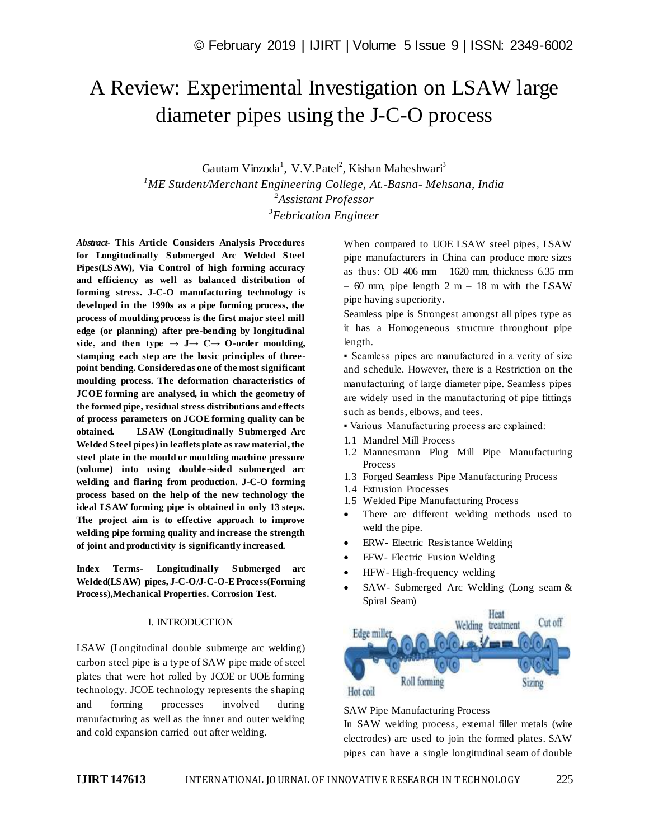# A Review: Experimental Investigation on LSAW large diameter pipes using the J-C-O process

Gautam Vinzoda<sup>1</sup>, V.V.Patel<sup>2</sup>, Kishan Maheshwari<sup>3</sup> *ME Student/Merchant Engineering College, At.-Basna- Mehsana, India Assistant Professor Febrication Engineer*

*Abstract*- **This Article Considers Analysis Procedures for Longitudinally Submerged Arc Welded Steel Pipes(LSAW), Via Control of high forming accuracy and efficiency as well as balanced distribution of forming stress. J-C-O manufacturing technology is developed in the 1990s as a pipe forming process, the process of moulding process is the first major steel mill edge (or planning) after pre-bending by longitudinal**  side, and then type  $\rightarrow$  J $\rightarrow$  C $\rightarrow$  O-order moulding, **stamping each step are the basic principles of threepoint bending. Considered as one of the most significant moulding process. The deformation characteristics of JCOE forming are analysed, in which the geometry of the formed pipe, residual stress distributions and effects of process parameters on JCOE forming quality can be obtained. LSAW (Longitudinally Submerged Arc Welded Steel pipes) in leaflets plate as raw material, the steel plate in the mould or moulding machine pressure (volume) into using double-sided submerged arc welding and flaring from production. J-C-O forming process based on the help of the new technology the ideal LSAW forming pipe is obtained in only 13 steps. The project aim is to effective approach to improve welding pipe forming quality and increase the strength of joint and productivity is significantly increased.**

**Index Terms- Longitudinally Submerged arc Welded(LSAW) pipes, J-C-O/J-C-O-E Process(Forming Process),Mechanical Properties. Corrosion Test.**

### I. INTRODUCTION

LSAW (Longitudinal double submerge arc welding) carbon steel pipe is a type of SAW pipe made of steel plates that were hot rolled by JCOE or UOE forming technology. JCOE technology represents the shaping and forming processes involved during manufacturing as well as the inner and outer welding and cold expansion carried out after welding.

When compared to UOE LSAW steel pipes, LSAW pipe manufacturers in China can produce more sizes as thus: OD  $406$  mm –  $1620$  mm, thickness  $6.35$  mm – 60 mm, pipe length 2 m – 18 m with the LSAW pipe having superiority.

Seamless pipe is Strongest amongst all pipes type as it has a Homogeneous structure throughout pipe length.

▪ Seamless pipes are manufactured in a verity of size and schedule. However, there is a Restriction on the manufacturing of large diameter pipe. Seamless pipes are widely used in the manufacturing of pipe fittings such as bends, elbows, and tees.

▪ Various Manufacturing process are explained:

- 1.1 Mandrel Mill Process
- 1.2 Mannesmann Plug Mill Pipe Manufacturing Process
- 1.3 Forged Seamless Pipe Manufacturing Process
- 1.4 Extrusion Processes
- 1.5 Welded Pipe Manufacturing Process
- There are different welding methods used to weld the pipe.
- ERW- Electric Resistance Welding
- EFW- Electric Fusion Welding
- HFW- High-frequency welding
- SAW- Submerged Arc Welding (Long seam & Spiral Seam)



SAW Pipe Manufacturing Process

In SAW welding process, external filler metals (wire electrodes) are used to join the formed plates. SAW pipes can have a single longitudinal seam of double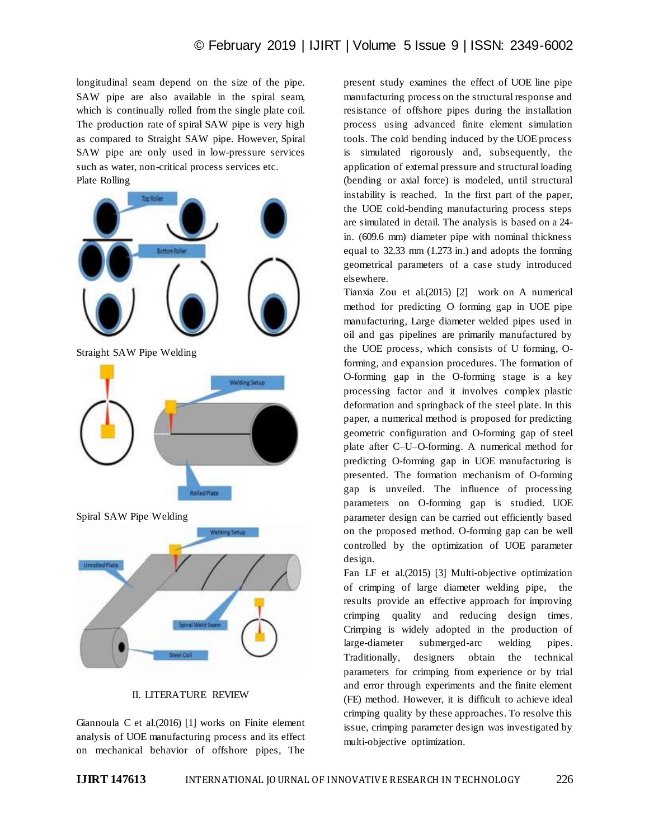longitudinal seam depend on the size of the pipe. SAW pipe are also available in the spiral seam, which is continually rolled from the single plate coil. The production rate of spiral SAW pipe is very high as compared to Straight SAW pipe. However, Spiral SAW pipe are only used in low-pressure services such as water, non-critical process services etc. Plate Rolling



## II. LITERATURE REVIEW

Giannoula C et al.(2016) [1] works on Finite element analysis of UOE manufacturing process and its effect on mechanical behavior of offshore pipes, The present study examines the effect of UOE line pipe manufacturing process on the structural response and resistance of offshore pipes during the installation process using advanced finite element simulation tools. The cold bending induced by the UOE process is simulated rigorously and, subsequently, the application of external pressure and structural loading (bending or axial force) is modeled, until structural instability is reached. In the first part of the paper, the UOE cold-bending manufacturing process steps are simulated in detail. The analysis is based on a 24 in. (609.6 mm) diameter pipe with nominal thickness equal to 32.33 mm (1.273 in.) and adopts the forming geometrical parameters of a case study introduced elsewhere.

Tianxia Zou et al.(2015) [2] work on A numerical method for predicting O forming gap in UOE pipe manufacturing, Large diameter welded pipes used in oil and gas pipelines are primarily manufactured by the UOE process, which consists of U forming, Oforming, and expansion procedures. The formation of O-forming gap in the O-forming stage is a key processing factor and it involves complex plastic deformation and springback of the steel plate. In this paper, a numerical method is proposed for predicting geometric configuration and O-forming gap of steel plate after C–U–O-forming. A numerical method for predicting O-forming gap in UOE manufacturing is presented. The formation mechanism of O-forming gap is unveiled. The influence of processing parameters on O-forming gap is studied. UOE parameter design can be carried out efficiently based on the proposed method. O-forming gap can be well controlled by the optimization of UOE parameter design.

Fan LF et al.(2015) [3] Multi-objective optimization of crimping of large diameter welding pipe, the results provide an effective approach for improving crimping quality and reducing design times. Crimping is widely adopted in the production of large-diameter submerged-arc welding pipes. Traditionally, designers obtain the technical parameters for crimping from experience or by trial and error through experiments and the finite element (FE) method. However, it is difficult to achieve ideal crimping quality by these approaches. To resolve this issue, crimping parameter design was investigated by multi-objective optimization.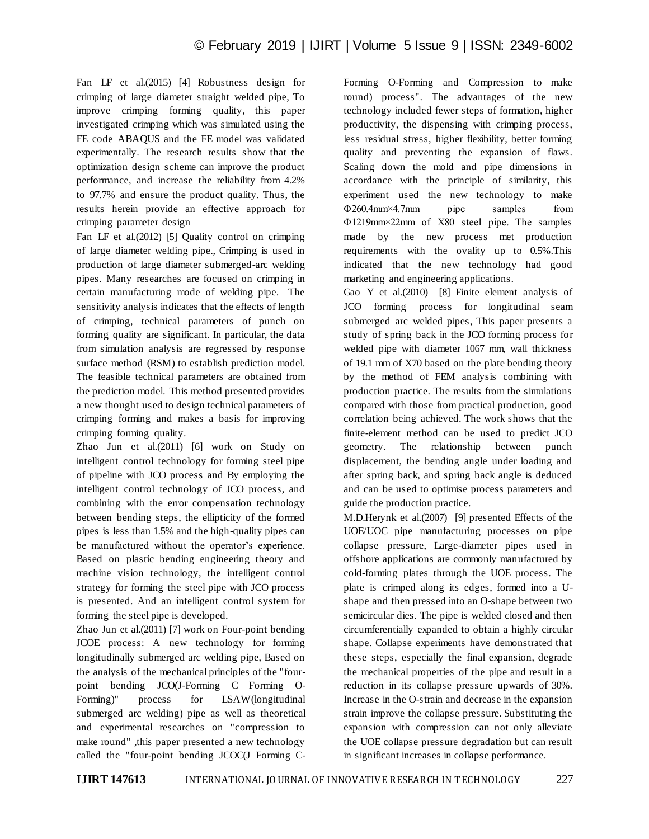Fan LF et al.(2015) [4] Robustness design for crimping of large diameter straight welded pipe, To improve crimping forming quality, this paper investigated crimping which was simulated using the FE code ABAQUS and the FE model was validated experimentally. The research results show that the optimization design scheme can improve the product performance, and increase the reliability from 4.2% to 97.7% and ensure the product quality. Thus, the results herein provide an effective approach for crimping parameter design

Fan LF et al.(2012) [5] Quality control on crimping of large diameter welding pipe., Crimping is used in production of large diameter submerged-arc welding pipes. Many researches are focused on crimping in certain manufacturing mode of welding pipe. The sensitivity analysis indicates that the effects of length of crimping, technical parameters of punch on forming quality are significant. In particular, the data from simulation analysis are regressed by response surface method (RSM) to establish prediction model. The feasible technical parameters are obtained from the prediction model. This method presented provides a new thought used to design technical parameters of crimping forming and makes a basis for improving crimping forming quality.

Zhao Jun et al.(2011) [6] work on Study on intelligent control technology for forming steel pipe of pipeline with JCO process and By employing the intelligent control technology of JCO process, and combining with the error compensation technology between bending steps, the ellipticity of the formed pipes is less than 1.5% and the high-quality pipes can be manufactured without the operator's experience. Based on plastic bending engineering theory and machine vision technology, the intelligent control strategy for forming the steel pipe with JCO process is presented. And an intelligent control system for forming the steel pipe is developed.

Zhao Jun et al.(2011) [7] work on Four-point bending JCOE process: A new technology for forming longitudinally submerged arc welding pipe, Based on the analysis of the mechanical principles of the "fourpoint bending JCO(J-Forming C Forming O-Forming)" process for LSAW(longitudinal submerged arc welding) pipe as well as theoretical and experimental researches on "compression to make round" ,this paper presented a new technology called the "four-point bending JCOC(J Forming C-

Forming O-Forming and Compression to make round) process". The advantages of the new technology included fewer steps of formation, higher productivity, the dispensing with crimping process, less residual stress, higher flexibility, better forming quality and preventing the expansion of flaws. Scaling down the mold and pipe dimensions in accordance with the principle of similarity, this experiment used the new technology to make Φ260.4mm×4.7mm pipe samples from Φ1219mm×22mm of X80 steel pipe. The samples made by the new process met production requirements with the ovality up to 0.5%.This indicated that the new technology had good marketing and engineering applications.

Gao Y et al.(2010) [8] Finite element analysis of JCO forming process for longitudinal seam submerged arc welded pipes, This paper presents a study of spring back in the JCO forming process for welded pipe with diameter 1067 mm, wall thickness of 19.1 mm of X70 based on the plate bending theory by the method of FEM analysis combining with production practice. The results from the simulations compared with those from practical production, good correlation being achieved. The work shows that the finite-element method can be used to predict JCO geometry. The relationship between punch displacement, the bending angle under loading and after spring back, and spring back angle is deduced and can be used to optimise process parameters and guide the production practice.

M.D.Herynk et al.(2007) [9] presented Effects of the UOE/UOC pipe manufacturing processes on pipe collapse pressure, Large-diameter pipes used in offshore applications are commonly manufactured by cold-forming plates through the UOE process. The plate is crimped along its edges, formed into a Ushape and then pressed into an O-shape between two semicircular dies. The pipe is welded closed and then circumferentially expanded to obtain a highly circular shape. Collapse experiments have demonstrated that these steps, especially the final expansion, degrade the mechanical properties of the pipe and result in a reduction in its collapse pressure upwards of 30%. Increase in the O-strain and decrease in the expansion strain improve the collapse pressure. Substituting the expansion with compression can not only alleviate the UOE collapse pressure degradation but can result in significant increases in collapse performance.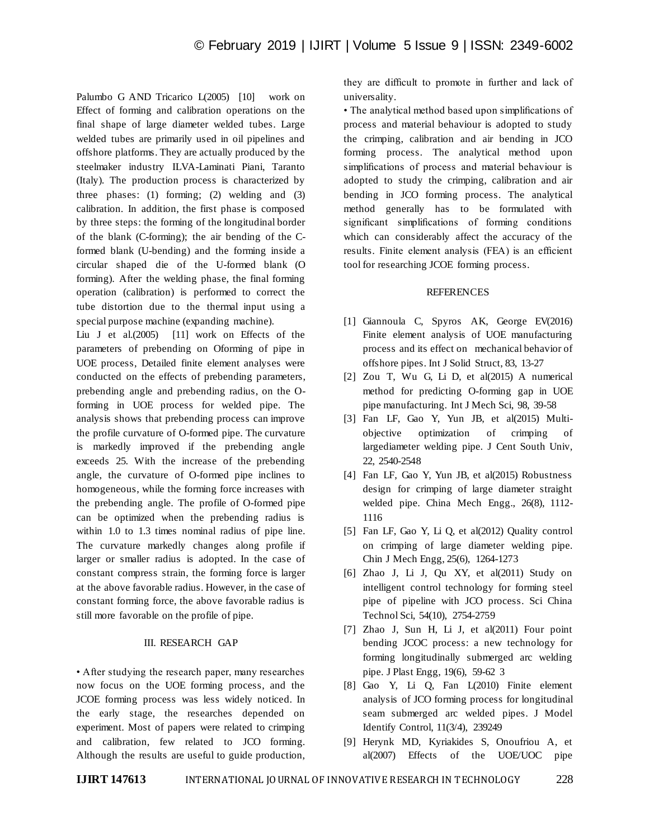Palumbo G AND Tricarico L(2005) [10] work on Effect of forming and calibration operations on the final shape of large diameter welded tubes. Large welded tubes are primarily used in oil pipelines and offshore platforms. They are actually produced by the steelmaker industry ILVA-Laminati Piani, Taranto (Italy). The production process is characterized by three phases: (1) forming; (2) welding and (3) calibration. In addition, the first phase is composed by three steps: the forming of the longitudinal border of the blank (C-forming); the air bending of the Cformed blank (U-bending) and the forming inside a circular shaped die of the U-formed blank (O forming). After the welding phase, the final forming operation (calibration) is performed to correct the tube distortion due to the thermal input using a special purpose machine (expanding machine).

Liu J et al.(2005) [11] work on Effects of the parameters of prebending on Oforming of pipe in UOE process, Detailed finite element analyses were conducted on the effects of prebending parameters, prebending angle and prebending radius, on the Oforming in UOE process for welded pipe. The analysis shows that prebending process can improve the profile curvature of O-formed pipe. The curvature is markedly improved if the prebending angle exceeds 25. With the increase of the prebending angle, the curvature of O-formed pipe inclines to homogeneous, while the forming force increases with the prebending angle. The profile of O-formed pipe can be optimized when the prebending radius is within 1.0 to 1.3 times nominal radius of pipe line. The curvature markedly changes along profile if larger or smaller radius is adopted. In the case of constant compress strain, the forming force is larger at the above favorable radius. However, in the case of constant forming force, the above favorable radius is still more favorable on the profile of pipe.

### III. RESEARCH GAP

• After studying the research paper, many researches now focus on the UOE forming process, and the JCOE forming process was less widely noticed. In the early stage, the researches depended on experiment. Most of papers were related to crimping and calibration, few related to JCO forming. Although the results are useful to guide production, they are difficult to promote in further and lack of universality.

• The analytical method based upon simplifications of process and material behaviour is adopted to study the crimping, calibration and air bending in JCO forming process. The analytical method upon simplifications of process and material behaviour is adopted to study the crimping, calibration and air bending in JCO forming process. The analytical method generally has to be formulated with significant simplifications of forming conditions which can considerably affect the accuracy of the results. Finite element analysis (FEA) is an efficient tool for researching JCOE forming process.

## REFERENCES

- [1] Giannoula C, Spyros AK, George EV(2016) Finite element analysis of UOE manufacturing process and its effect on mechanical behavior of offshore pipes. Int J Solid Struct, 83, 13-27
- [2] Zou T, Wu G, Li D, et al(2015) A numerical method for predicting O-forming gap in UOE pipe manufacturing. Int J Mech Sci, 98, 39-58
- [3] Fan LF, Gao Y, Yun JB, et al(2015) Multiobjective optimization of crimping of largediameter welding pipe. J Cent South Univ, 22, 2540-2548
- [4] Fan LF, Gao Y, Yun JB, et al(2015) Robustness design for crimping of large diameter straight welded pipe. China Mech Engg., 26(8), 1112- 1116
- [5] Fan LF, Gao Y, Li Q, et al(2012) Quality control on crimping of large diameter welding pipe. Chin J Mech Engg, 25(6), 1264-1273
- $[6]$  Zhao J, Li J, Qu XY, et al $(2011)$  Study on intelligent control technology for forming steel pipe of pipeline with JCO process. Sci China Technol Sci, 54(10), 2754-2759
- [7] Zhao J, Sun H, Li J, et al(2011) Four point bending JCOC process: a new technology for forming longitudinally submerged arc welding pipe. J Plast Engg, 19(6), 59-62 3
- [8] Gao Y, Li Q, Fan L(2010) Finite element analysis of JCO forming process for longitudinal seam submerged arc welded pipes. J Model Identify Control, 11(3/4), 239249
- [9] Herynk MD, Kyriakides S, Onoufriou A, et al(2007) Effects of the UOE/UOC pipe